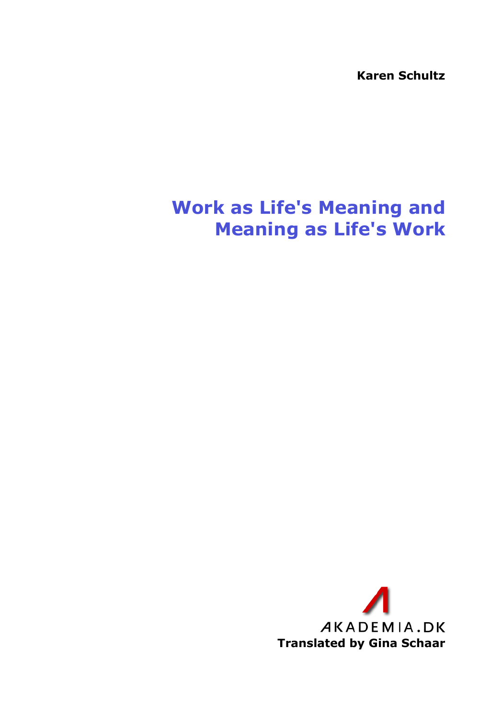**Karen Schultz**

## **Work as Life's Meaning and Meaning as Life's Work**

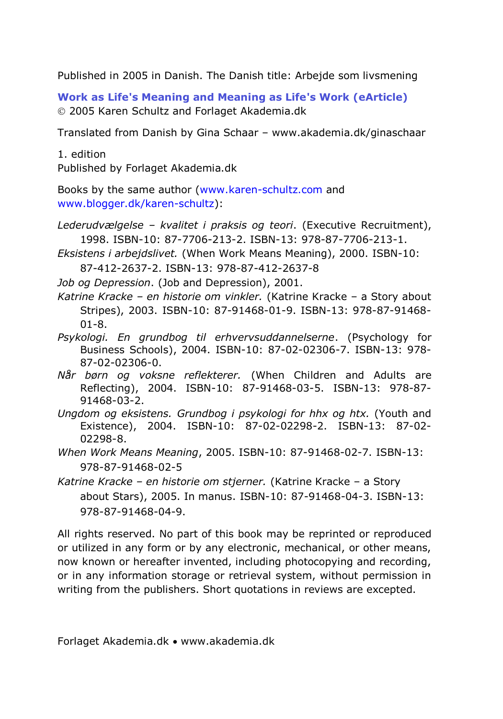Published in 2005 in Danish. The Danish title: Arbejde som livsmening

**Work as Life's Meaning and Meaning as Life's Work (eArticle)** 2005 Karen Schultz and Forlaget Akademia.dk

Translated from Danish by Gina Schaar – [www.akademia.dk/ginaschaar](http://www.akademia.dk/ginaschaar)

1. edition Published by Forlaget Akademia.dk

Books by the same author [\(www.karen-schultz.com](http://www.karen-schultz.com/) and [www.blogger.dk/karen-schultz\)](http://www.blogger.dk/karen-schultz):

*Lederudvælgelse – kvalitet i praksis og teori*. (Executive Recruitment), 1998. ISBN-10: 87-7706-213-2. ISBN-13: 978-87-7706-213-1.

*Eksistens i arbejdslivet.* (When Work Means Meaning), 2000. ISBN-10:

87-412-2637-2. ISBN-13: 978-87-412-2637-8

*Job og Depression*. (Job and Depression), 2001.

*Katrine Kracke – en historie om vinkler.* (Katrine Kracke – a Story about Stripes), 2003. ISBN-10: 87-91468-01-9. ISBN-13: 978-87-91468- 01-8.

- *Psykologi. En grundbog til erhvervsuddannelserne*. (Psychology for Business Schools), 2004. ISBN-10: 87-02-02306-7. ISBN-13: 978- 87-02-02306-0.
- *Når børn og voksne reflekterer.* (When Children and Adults are Reflecting), 2004. ISBN-10: 87-91468-03-5. ISBN-13: 978-87- 91468-03-2.

*Ungdom og eksistens. Grundbog i psykologi for hhx og htx.* (Youth and Existence), 2004. ISBN-10: 87-02-02298-2. ISBN-13: 87-02- 02298-8.

*When Work Means Meaning*, 2005. ISBN-10: 87-91468-02-7. ISBN-13: 978-87-91468-02-5

*Katrine Kracke – en historie om stjerner.* (Katrine Kracke – a Story about Stars), 2005. In manus. ISBN-10: 87-91468-04-3. ISBN-13: 978-87-91468-04-9.

All rights reserved. No part of this book may be reprinted or reproduced or utilized in any form or by any electronic, mechanical, or other means, now known or hereafter invented, including photocopying and recording, or in any information storage or retrieval system, without permission in writing from the publishers. Short quotations in reviews are excepted.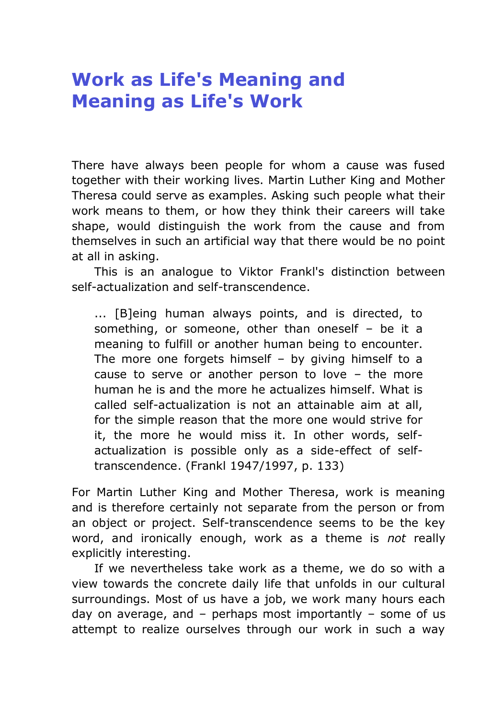## **Work as Life's Meaning and Meaning as Life's Work**

There have always been people for whom a cause was fused together with their working lives. Martin Luther King and Mother Theresa could serve as examples. Asking such people what their work means to them, or how they think their careers will take shape, would distinguish the work from the cause and from themselves in such an artificial way that there would be no point at all in asking.

This is an analogue to Viktor Frankl's distinction between self-actualization and self-transcendence.

... [B]eing human always points, and is directed, to something, or someone, other than oneself – be it a meaning to fulfill or another human being to encounter. The more one forgets himself  $-$  by giving himself to a cause to serve or another person to love – the more human he is and the more he actualizes himself. What is called self-actualization is not an attainable aim at all, for the simple reason that the more one would strive for it, the more he would miss it. In other words, selfactualization is possible only as a side-effect of selftranscendence. (Frankl 1947/1997, p. 133)

For Martin Luther King and Mother Theresa, work is meaning and is therefore certainly not separate from the person or from an object or project. Self-transcendence seems to be the key word, and ironically enough, work as a theme is *not* really explicitly interesting.

If we nevertheless take work as a theme, we do so with a view towards the concrete daily life that unfolds in our cultural surroundings. Most of us have a job, we work many hours each day on average, and – perhaps most importantly – some of us attempt to realize ourselves through our work in such a way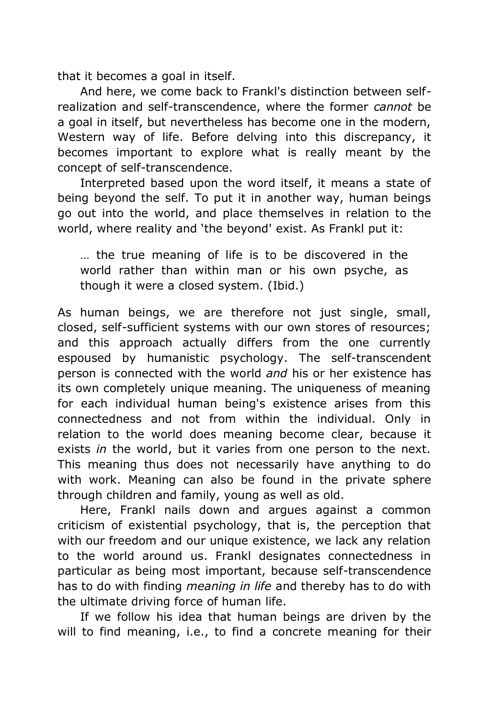that it becomes a goal in itself.

And here, we come back to Frankl's distinction between selfrealization and self-transcendence, where the former *cannot* be a goal in itself, but nevertheless has become one in the modern, Western way of life. Before delving into this discrepancy, it becomes important to explore what is really meant by the concept of self-transcendence.

Interpreted based upon the word itself, it means a state of being beyond the self. To put it in another way, human beings go out into the world, and place themselves in relation to the world, where reality and 'the beyond' exist. As Frankl put it:

… the true meaning of life is to be discovered in the world rather than within man or his own psyche, as though it were a closed system. (Ibid.)

As human beings, we are therefore not just single, small, closed, self-sufficient systems with our own stores of resources; and this approach actually differs from the one currently espoused by humanistic psychology. The self-transcendent person is connected with the world *and* his or her existence has its own completely unique meaning. The uniqueness of meaning for each individual human being's existence arises from this connectedness and not from within the individual. Only in relation to the world does meaning become clear, because it exists *in* the world, but it varies from one person to the next. This meaning thus does not necessarily have anything to do with work. Meaning can also be found in the private sphere through children and family, young as well as old.

Here, Frankl nails down and argues against a common criticism of existential psychology, that is, the perception that with our freedom and our unique existence, we lack any relation to the world around us. Frankl designates connectedness in particular as being most important, because self-transcendence has to do with finding *meaning in life* and thereby has to do with the ultimate driving force of human life.

If we follow his idea that human beings are driven by the will to find meaning, i.e., to find a concrete meaning for their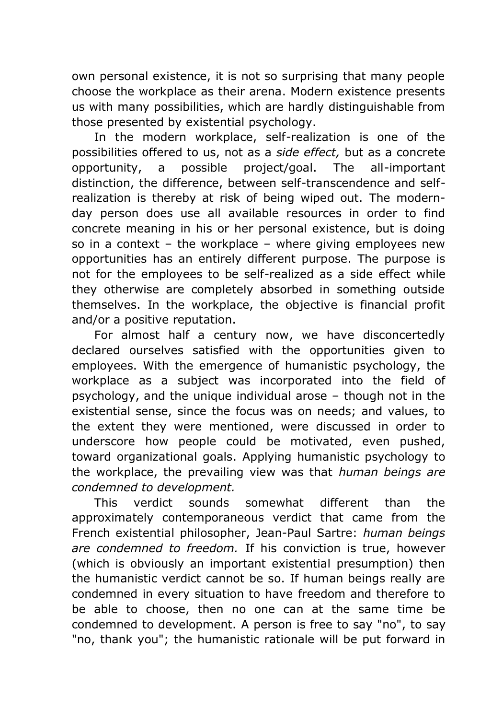own personal existence, it is not so surprising that many people choose the workplace as their arena. Modern existence presents us with many possibilities, which are hardly distinguishable from those presented by existential psychology.

In the modern workplace, self-realization is one of the possibilities offered to us, not as a *side effect,* but as a concrete opportunity, a possible project/goal. The all-important distinction, the difference, between self-transcendence and selfrealization is thereby at risk of being wiped out. The modernday person does use all available resources in order to find concrete meaning in his or her personal existence, but is doing so in a context – the workplace – where giving employees new opportunities has an entirely different purpose. The purpose is not for the employees to be self-realized as a side effect while they otherwise are completely absorbed in something outside themselves. In the workplace, the objective is financial profit and/or a positive reputation.

For almost half a century now, we have disconcertedly declared ourselves satisfied with the opportunities given to employees. With the emergence of humanistic psychology, the workplace as a subject was incorporated into the field of psychology, and the unique individual arose – though not in the existential sense, since the focus was on needs; and values, to the extent they were mentioned, were discussed in order to underscore how people could be motivated, even pushed, toward organizational goals. Applying humanistic psychology to the workplace, the prevailing view was that *human beings are condemned to development.*

This verdict sounds somewhat different than the approximately contemporaneous verdict that came from the French existential philosopher, Jean-Paul Sartre: *human beings are condemned to freedom.* If his conviction is true, however (which is obviously an important existential presumption) then the humanistic verdict cannot be so. If human beings really are condemned in every situation to have freedom and therefore to be able to choose, then no one can at the same time be condemned to development. A person is free to say "no", to say "no, thank you"; the humanistic rationale will be put forward in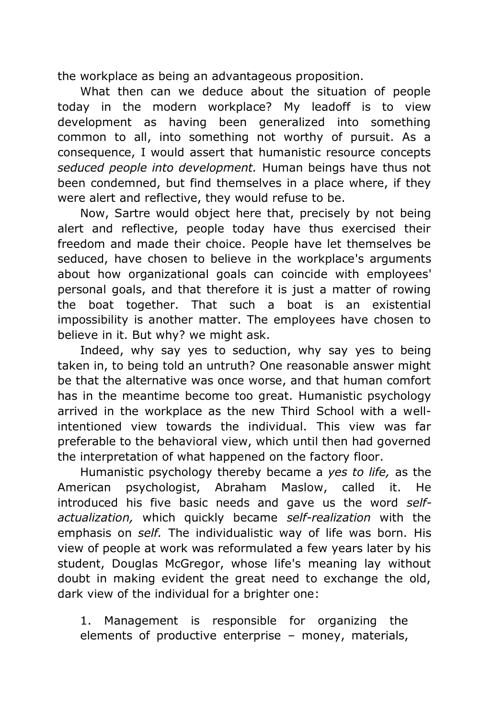the workplace as being an advantageous proposition.

What then can we deduce about the situation of people today in the modern workplace? My leadoff is to view development as having been generalized into something common to all, into something not worthy of pursuit. As a consequence, I would assert that humanistic resource concepts *seduced people into development.* Human beings have thus not been condemned, but find themselves in a place where, if they were alert and reflective, they would refuse to be.

Now, Sartre would object here that, precisely by not being alert and reflective, people today have thus exercised their freedom and made their choice. People have let themselves be seduced, have chosen to believe in the workplace's arguments about how organizational goals can coincide with employees' personal goals, and that therefore it is just a matter of rowing the boat together. That such a boat is an existential impossibility is another matter. The employees have chosen to believe in it. But why? we might ask.

Indeed, why say yes to seduction, why say yes to being taken in, to being told an untruth? One reasonable answer might be that the alternative was once worse, and that human comfort has in the meantime become too great. Humanistic psychology arrived in the workplace as the new Third School with a wellintentioned view towards the individual. This view was far preferable to the behavioral view, which until then had governed the interpretation of what happened on the factory floor.

Humanistic psychology thereby became a *yes to life,* as the American psychologist, Abraham Maslow, called it. He introduced his five basic needs and gave us the word *selfactualization,* which quickly became *self-realization* with the emphasis on *self.* The individualistic way of life was born. His view of people at work was reformulated a few years later by his student, Douglas McGregor, whose life's meaning lay without doubt in making evident the great need to exchange the old, dark view of the individual for a brighter one:

1. Management is responsible for organizing the elements of productive enterprise – money, materials,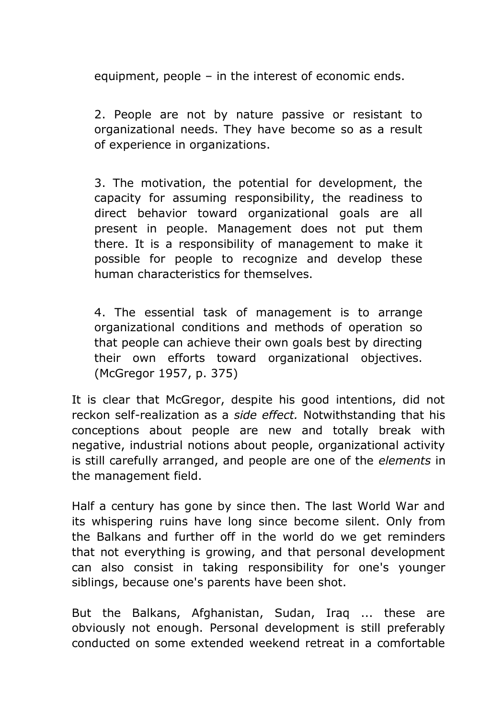equipment, people – in the interest of economic ends.

2. People are not by nature passive or resistant to organizational needs. They have become so as a result of experience in organizations.

3. The motivation, the potential for development, the capacity for assuming responsibility, the readiness to direct behavior toward organizational goals are all present in people. Management does not put them there. It is a responsibility of management to make it possible for people to recognize and develop these human characteristics for themselves.

4. The essential task of management is to arrange organizational conditions and methods of operation so that people can achieve their own goals best by directing their own efforts toward organizational objectives. (McGregor 1957, p. 375)

It is clear that McGregor, despite his good intentions, did not reckon self-realization as a *side effect.* Notwithstanding that his conceptions about people are new and totally break with negative, industrial notions about people, organizational activity is still carefully arranged, and people are one of the *elements* in the management field.

Half a century has gone by since then. The last World War and its whispering ruins have long since become silent. Only from the Balkans and further off in the world do we get reminders that not everything is growing, and that personal development can also consist in taking responsibility for one's younger siblings, because one's parents have been shot.

But the Balkans, Afghanistan, Sudan, Iraq ... these are obviously not enough. Personal development is still preferably conducted on some extended weekend retreat in a comfortable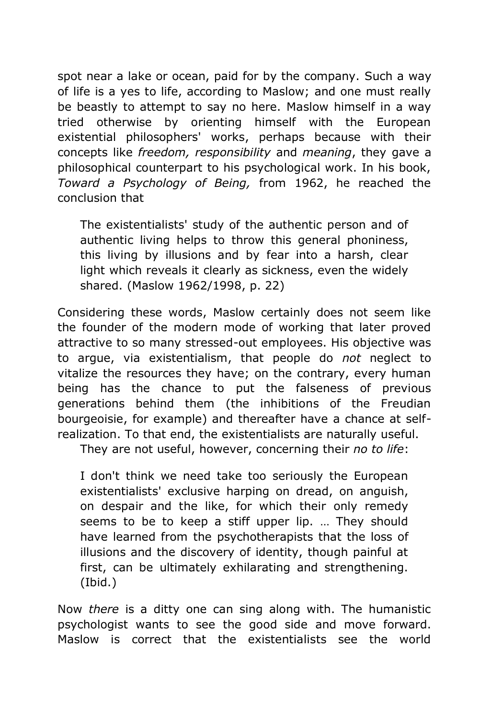spot near a lake or ocean, paid for by the company. Such a way of life is a yes to life, according to Maslow; and one must really be beastly to attempt to say no here. Maslow himself in a way tried otherwise by orienting himself with the European existential philosophers' works, perhaps because with their concepts like *freedom, responsibility* and *meaning*, they gave a philosophical counterpart to his psychological work. In his book, *Toward a Psychology of Being,* from 1962, he reached the conclusion that

The existentialists' study of the authentic person and of authentic living helps to throw this general phoniness, this living by illusions and by fear into a harsh, clear light which reveals it clearly as sickness, even the widely shared. (Maslow 1962/1998, p. 22)

Considering these words, Maslow certainly does not seem like the founder of the modern mode of working that later proved attractive to so many stressed-out employees. His objective was to argue, via existentialism, that people do *not* neglect to vitalize the resources they have; on the contrary, every human being has the chance to put the falseness of previous generations behind them (the inhibitions of the Freudian bourgeoisie, for example) and thereafter have a chance at selfrealization. To that end, the existentialists are naturally useful.

They are not useful, however, concerning their *no to life*:

I don't think we need take too seriously the European existentialists' exclusive harping on dread, on anguish, on despair and the like, for which their only remedy seems to be to keep a stiff upper lip. … They should have learned from the psychotherapists that the loss of illusions and the discovery of identity, though painful at first, can be ultimately exhilarating and strengthening. (Ibid.)

Now *there* is a ditty one can sing along with. The humanistic psychologist wants to see the good side and move forward. Maslow is correct that the existentialists see the world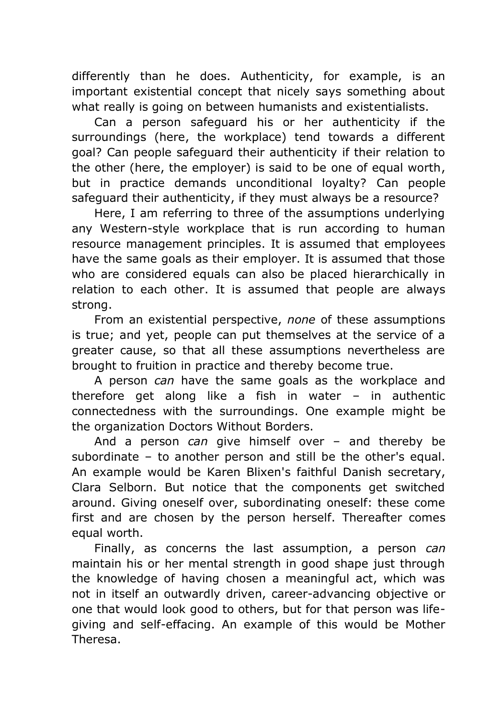differently than he does. Authenticity, for example, is an important existential concept that nicely says something about what really is going on between humanists and existentialists.

Can a person safeguard his or her authenticity if the surroundings (here, the workplace) tend towards a different goal? Can people safeguard their authenticity if their relation to the other (here, the employer) is said to be one of equal worth, but in practice demands unconditional loyalty? Can people safeguard their authenticity, if they must always be a resource?

Here, I am referring to three of the assumptions underlying any Western-style workplace that is run according to human resource management principles. It is assumed that employees have the same goals as their employer. It is assumed that those who are considered equals can also be placed hierarchically in relation to each other. It is assumed that people are always strong.

From an existential perspective, *none* of these assumptions is true; and yet, people can put themselves at the service of a greater cause, so that all these assumptions nevertheless are brought to fruition in practice and thereby become true.

A person *can* have the same goals as the workplace and therefore get along like a fish in water – in authentic connectedness with the surroundings. One example might be the organization Doctors Without Borders.

And a person *can* give himself over – and thereby be subordinate – to another person and still be the other's equal. An example would be Karen Blixen's faithful Danish secretary, Clara Selborn. But notice that the components get switched around. Giving oneself over, subordinating oneself: these come first and are chosen by the person herself. Thereafter comes equal worth.

Finally, as concerns the last assumption, a person *can*  maintain his or her mental strength in good shape just through the knowledge of having chosen a meaningful act, which was not in itself an outwardly driven, career-advancing objective or one that would look good to others, but for that person was lifegiving and self-effacing. An example of this would be Mother Theresa.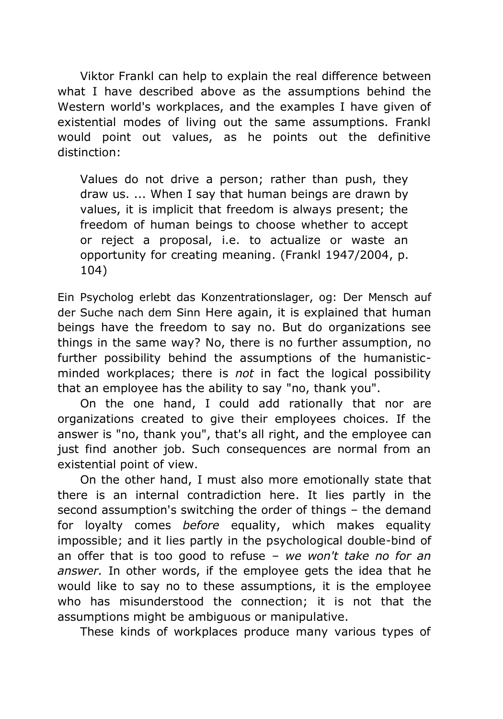Viktor Frankl can help to explain the real difference between what I have described above as the assumptions behind the Western world's workplaces, and the examples I have given of existential modes of living out the same assumptions. Frankl would point out values, as he points out the definitive distinction:

Values do not drive a person; rather than push, they draw us. ... When I say that human beings are drawn by values, it is implicit that freedom is always present; the freedom of human beings to choose whether to accept or reject a proposal, i.e. to actualize or waste an opportunity for creating meaning. (Frankl 1947/2004, p. 104)

Ein Psycholog erlebt das Konzentrationslager, og: Der Mensch auf der Suche nach dem Sinn Here again, it is explained that human beings have the freedom to say no. But do organizations see things in the same way? No, there is no further assumption, no further possibility behind the assumptions of the humanisticminded workplaces; there is *not* in fact the logical possibility that an employee has the ability to say "no, thank you".

On the one hand, I could add rationally that nor are organizations created to give their employees choices. If the answer is "no, thank you", that's all right, and the employee can just find another job. Such consequences are normal from an existential point of view.

On the other hand, I must also more emotionally state that there is an internal contradiction here. It lies partly in the second assumption's switching the order of things – the demand for loyalty comes *before* equality, which makes equality impossible; and it lies partly in the psychological double-bind of an offer that is too good to refuse – *we won't take no for an answer.* In other words, if the employee gets the idea that he would like to say no to these assumptions, it is the employee who has misunderstood the connection; it is not that the assumptions might be ambiguous or manipulative.

These kinds of workplaces produce many various types of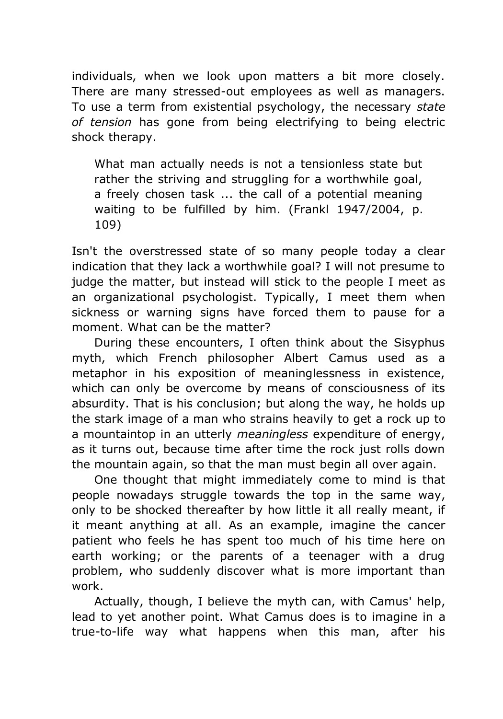individuals, when we look upon matters a bit more closely. There are many stressed-out employees as well as managers. To use a term from existential psychology, the necessary *state of tension* has gone from being electrifying to being electric shock therapy.

What man actually needs is not a tensionless state but rather the striving and struggling for a worthwhile goal, a freely chosen task ... the call of a potential meaning waiting to be fulfilled by him. (Frankl 1947/2004, p. 109)

Isn't the overstressed state of so many people today a clear indication that they lack a worthwhile goal? I will not presume to judge the matter, but instead will stick to the people I meet as an organizational psychologist. Typically, I meet them when sickness or warning signs have forced them to pause for a moment. What can be the matter?

During these encounters, I often think about the Sisyphus myth, which French philosopher Albert Camus used as a metaphor in his exposition of meaninglessness in existence, which can only be overcome by means of consciousness of its absurdity. That is his conclusion; but along the way, he holds up the stark image of a man who strains heavily to get a rock up to a mountaintop in an utterly *meaningless* expenditure of energy, as it turns out, because time after time the rock just rolls down the mountain again, so that the man must begin all over again.

One thought that might immediately come to mind is that people nowadays struggle towards the top in the same way, only to be shocked thereafter by how little it all really meant, if it meant anything at all. As an example, imagine the cancer patient who feels he has spent too much of his time here on earth working; or the parents of a teenager with a drug problem, who suddenly discover what is more important than work.

Actually, though, I believe the myth can, with Camus' help, lead to yet another point. What Camus does is to imagine in a true-to-life way what happens when this man, after his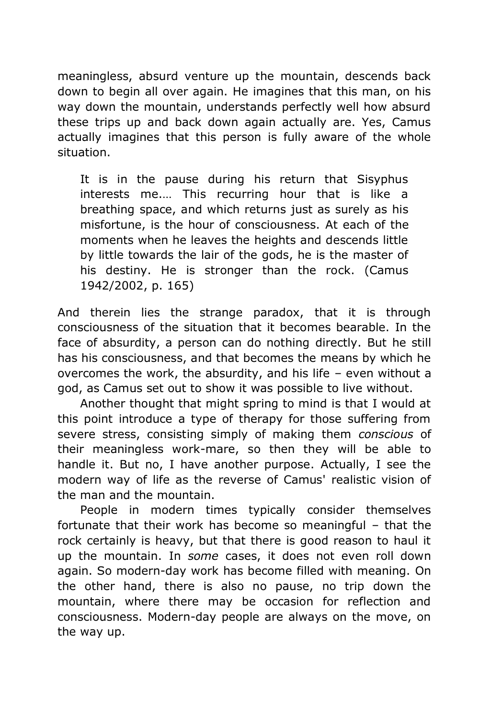meaningless, absurd venture up the mountain, descends back down to begin all over again. He imagines that this man, on his way down the mountain, understands perfectly well how absurd these trips up and back down again actually are. Yes, Camus actually imagines that this person is fully aware of the whole situation.

It is in the pause during his return that Sisyphus interests me.… This recurring hour that is like a breathing space, and which returns just as surely as his misfortune, is the hour of consciousness. At each of the moments when he leaves the heights and descends little by little towards the lair of the gods, he is the master of his destiny. He is stronger than the rock. (Camus 1942/2002, p. 165)

And therein lies the strange paradox, that it is through consciousness of the situation that it becomes bearable. In the face of absurdity, a person can do nothing directly. But he still has his consciousness, and that becomes the means by which he overcomes the work, the absurdity, and his life – even without a god, as Camus set out to show it was possible to live without.

Another thought that might spring to mind is that I would at this point introduce a type of therapy for those suffering from severe stress, consisting simply of making them *conscious* of their meaningless work-mare, so then they will be able to handle it. But no, I have another purpose. Actually, I see the modern way of life as the reverse of Camus' realistic vision of the man and the mountain.

People in modern times typically consider themselves fortunate that their work has become so meaningful – that the rock certainly is heavy, but that there is good reason to haul it up the mountain. In *some* cases, it does not even roll down again. So modern-day work has become filled with meaning. On the other hand, there is also no pause, no trip down the mountain, where there may be occasion for reflection and consciousness. Modern-day people are always on the move, on the way up.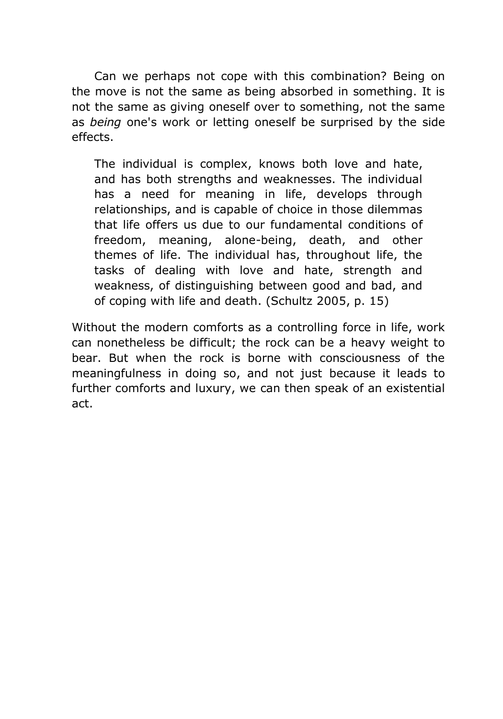Can we perhaps not cope with this combination? Being on the move is not the same as being absorbed in something. It is not the same as giving oneself over to something, not the same as *being* one's work or letting oneself be surprised by the side effects.

The individual is complex, knows both love and hate, and has both strengths and weaknesses. The individual has a need for meaning in life, develops through relationships, and is capable of choice in those dilemmas that life offers us due to our fundamental conditions of freedom, meaning, alone-being, death, and other themes of life. The individual has, throughout life, the tasks of dealing with love and hate, strength and weakness, of distinguishing between good and bad, and of coping with life and death. (Schultz 2005, p. 15)

Without the modern comforts as a controlling force in life, work can nonetheless be difficult; the rock can be a heavy weight to bear. But when the rock is borne with consciousness of the meaningfulness in doing so, and not just because it leads to further comforts and luxury, we can then speak of an existential act.